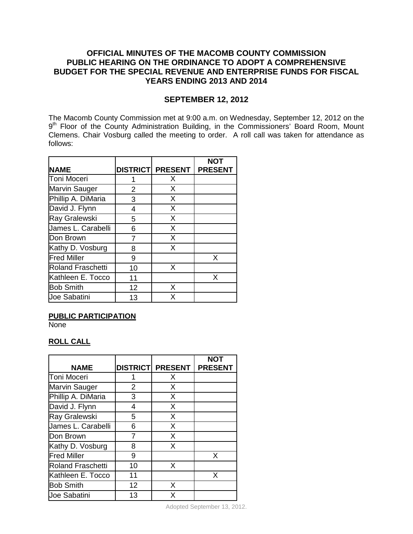# **OFFICIAL MINUTES OF THE MACOMB COUNTY COMMISSION PUBLIC HEARING ON THE ORDINANCE TO ADOPT A COMPREHENSIVE BUDGET FOR THE SPECIAL REVENUE AND ENTERPRISE FUNDS FOR FISCAL YEARS ENDING 2013 AND 2014**

# **SEPTEMBER 12, 2012**

The Macomb County Commission met at 9:00 a.m. on Wednesday, September 12, 2012 on the 9<sup>th</sup> Floor of the County Administration Building, in the Commissioners' Board Room, Mount Clemens. Chair Vosburg called the meeting to order. A roll call was taken for attendance as follows:

|                          |                |                         | <b>NOT</b>     |
|--------------------------|----------------|-------------------------|----------------|
| <b>NAME</b>              |                | <b>DISTRICT PRESENT</b> | <b>PRESENT</b> |
| Toni Moceri              |                | X                       |                |
| Marvin Sauger            | $\overline{2}$ | X                       |                |
| Phillip A. DiMaria       | 3              | X                       |                |
| David J. Flynn           | 4              | X                       |                |
| Ray Gralewski            | 5              | X                       |                |
| James L. Carabelli       | 6              | X                       |                |
| Don Brown                | 7              | X                       |                |
| Kathy D. Vosburg         | 8              | X                       |                |
| <b>Fred Miller</b>       | 9              |                         | X              |
| <b>Roland Fraschetti</b> | 10             | X                       |                |
| Kathleen E. Tocco        | 11             |                         | X              |
| <b>Bob Smith</b>         | 12             | X                       |                |
| Joe Sabatini             | 13             | X                       |                |

#### **PUBLIC PARTICIPATION**

None

## **ROLL CALL**

| <b>NAME</b>              |                | <b>DISTRICT PRESENT</b> | NOT<br><b>PRESENT</b> |
|--------------------------|----------------|-------------------------|-----------------------|
| Toni Moceri              |                | X                       |                       |
| <b>Marvin Sauger</b>     | $\overline{2}$ | X                       |                       |
| Phillip A. DiMaria       | 3              | X                       |                       |
| David J. Flynn           | 4              | X                       |                       |
| Ray Gralewski            | 5              | X                       |                       |
| James L. Carabelli       | 6              | X                       |                       |
| Don Brown                |                | X                       |                       |
| Kathy D. Vosburg         | 8              | X                       |                       |
| <b>Fred Miller</b>       | 9              |                         | X                     |
| <b>Roland Fraschetti</b> | 10             | X                       |                       |
| Kathleen E. Tocco        | 11             |                         | X                     |
| <b>Bob Smith</b>         | 12             | X                       |                       |
| Joe Sabatini             | 13             | X                       |                       |

Adopted September 13, 2012.